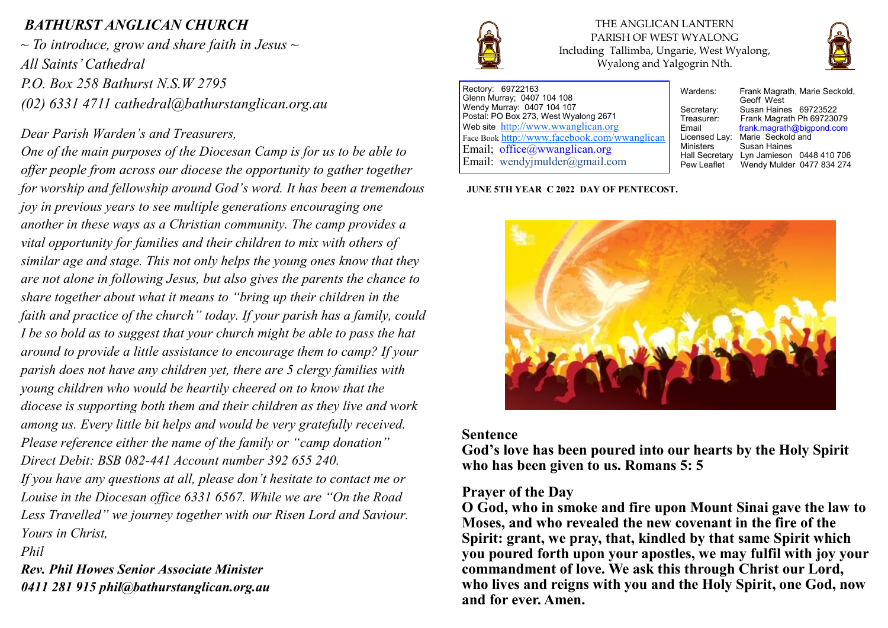## *BATHURST ANGLICAN CHURCH*

*~ To introduce, grow and share faith in Jesus ~ All Saints' Cathedral P.O. Box 258 Bathurst N.S.W 2795 (02) 6331 4711 cathedral@bathurstanglican.org.au* 

### *Dear Parish Warden's and Treasurers,*

*One of the main purposes of the Diocesan Camp is for us to be able to offer people from across our diocese the opportunity to gather together for worship and fellowship around God's word. It has been a tremendous joy in previous years to see multiple generations encouraging one another in these ways as a Christian community. The camp provides a vital opportunity for families and their children to mix with others of similar age and stage. This not only helps the young ones know that they are not alone in following Jesus, but also gives the parents the chance to share together about what it means to "bring up their children in the faith and practice of the church" today. If your parish has a family, could I be so bold as to suggest that your church might be able to pass the hat around to provide a little assistance to encourage them to camp? If your parish does not have any children yet, there are 5 clergy families with young children who would be heartily cheered on to know that the diocese is supporting both them and their children as they live and work among us. Every little bit helps and would be very gratefully received. Please reference either the name of the family or "camp donation" Direct Debit: BSB 082-441 Account number 392 655 240. If you have any questions at all, please don't hesitate to contact me or Louise in the Diocesan office 6331 6567. While we are "On the Road Less Travelled" we journey together with our Risen Lord and Saviour. Yours in Christ, Phil* 

*Rev. Phil Howes Senior Associate Minister 0411 281 915 phil@bathurstanglican.org.au* 



THE ANGLICAN LANTERN PARISH OF WEST WYALONG Including Tallimba, Ungarie, West Wyalong, Wyalong and Yalgogrin Nth.



Rectory: 69722163 Glenn Murray; 0407 104 108 Wendy Murray: 0407 104 107 Postal: PO Box 273, West Wyalong 2671 Web site <http://www.wwanglican.org> Face Book <http://www.facebook.com/wwanglican> Email; office@wwanglican.org Email: wendyjmulder@gmail.com

**JUNE 5TH YEAR C 2022 DAY OF PENTECOST.**

Wardens: Frank Magrath, Marie Seckold. Geoff West Secretary: Susan Haines 69723522<br>Treasurer: Frank Magrath Ph 697230 Treasurer: Frank Magrath Ph 69723079<br>Email Frank magrath@bigpond.com frank.magrath@bigpond.com Licensed Lay: Marie Seckold and<br>Ministers Susan Haines Susan Haines Hall Secretary Lyn Jamieson 0448 410 706<br>Pew Leaflet Wendy Mulder 0477 834 274 Wendy Mulder 0477 834 274



#### **Sentence**

**God's love has been poured into our hearts by the Holy Spirit who has been given to us. Romans 5: 5**

### **Prayer of the Day**

**O God, who in smoke and fire upon Mount Sinai gave the law to Moses, and who revealed the new covenant in the fire of the Spirit: grant, we pray, that, kindled by that same Spirit which you poured forth upon your apostles, we may fulfil with joy your commandment of love. We ask this through Christ our Lord, who lives and reigns with you and the Holy Spirit, one God, now and for ever. Amen.**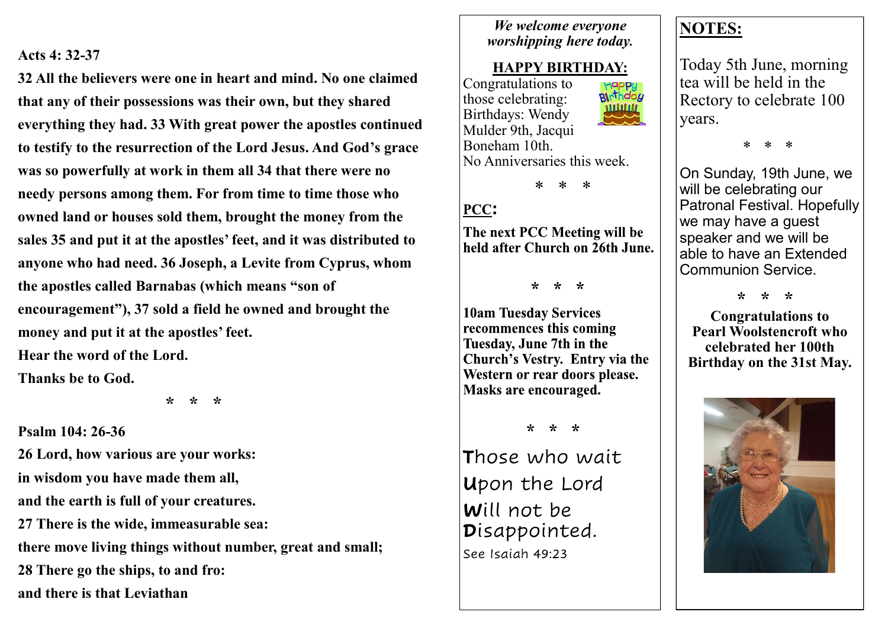### **Acts 4: 32-37**

**32 All the believers were one in heart and mind. No one claimed that any of their possessions was their own, but they shared everything they had. 33 With great power the apostles continued to testify to the resurrection of the Lord Jesus. And God's grace was so powerfully at work in them all 34 that there were no needy persons among them. For from time to time those who owned land or houses sold them, brought the money from the sales 35 and put it at the apostles' feet, and it was distributed to anyone who had need. 36 Joseph, a Levite from Cyprus, whom the apostles called Barnabas (which means "son of encouragement"), 37 sold a field he owned and brought the money and put it at the apostles' feet. Hear the word of the Lord.**

**Thanks be to God.**

 **\* \* \***

**Psalm 104: 26-36 26 Lord, how various are your works: in wisdom you have made them all, and the earth is full of your creatures. 27 There is the wide, immeasurable sea: there move living things without number, great and small; 28 There go the ships, to and fro: and there is that Leviathan**

### *We welcome everyone worshipping here today.*

## **HAPPY BIRTHDAY:**

Congratulations to Happy<br>**Bl**ithday those celebrating: Birthdays: Wendy Mulder 9th, Jacqui Boneham 10th. No Anniversaries this week.



# PCC:

The next PCC Meeting will be held after Church on 26th June.

 $* * *$ 

**10am Tuesday Services** recommences this coming Tuesday, June 7th in the Church's Vestry. Entry via the Western or rear doors please. Masks are encouraged.

 $* * *$ 

Those who wait Upon the Lord Will not be Disappointed. See Isaiah 49:23

# **NOTES:**

Today 5th June, morning tea will be held in the Rectory to celebrate 100 years.

\* \* \*

On Sunday, 19th June, we will be celebrating our Patronal Festival. Hopefully we may have a guest speaker and we will be able to have an Extended Communion Service.

 **\* \* \***

**Congratulations to Pearl Woolstencroft who celebrated her 100th Birthday on the 31st May.**

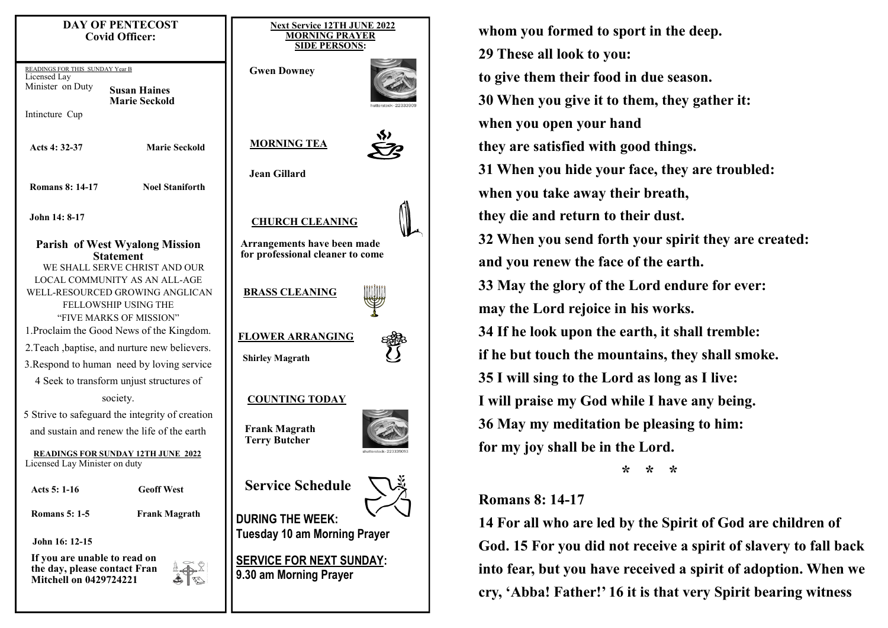| <b>DAY OF PENTECOST</b><br><b>Covid Officer:</b>                                                                                                                             | <b>Next Service 12TH JUNE 202</b><br><b>MORNING PRAYER</b><br><b>SIDE PERSONS:</b> |
|------------------------------------------------------------------------------------------------------------------------------------------------------------------------------|------------------------------------------------------------------------------------|
| READINGS FOR THIS SUNDAY Year B<br>Licensed Lay<br>Minister on Duty<br><b>Susan Haines</b><br><b>Marie Seckold</b><br>Intincture Cup                                         | <b>Gwen Downey</b>                                                                 |
| <b>Marie Seckold</b><br>Acts 4: 32-37                                                                                                                                        | <b>MORNING TEA</b>                                                                 |
| <b>Noel Staniforth</b><br><b>Romans 8: 14-17</b>                                                                                                                             | <b>Jean Gillard</b>                                                                |
| John 14: 8-17                                                                                                                                                                | <b>CHURCH CLEANING</b>                                                             |
| <b>Parish of West Wyalong Mission</b><br><b>Statement</b>                                                                                                                    | Arrangements have been made<br>for professional cleaner to come                    |
| WE SHALL SERVE CHRIST AND OUR<br><b>LOCAL COMMUNITY AS AN ALL-AGE</b><br>WELL-RESOURCED GROWING ANGLICAN<br>FELLOWSHIP USING THE                                             | <b>BRASS CLEANING</b>                                                              |
| "FIVE MARKS OF MISSION"<br>1. Proclaim the Good News of the Kingdom.<br>2. Teach, baptise, and nurture new believers.<br>3. Respond to human need by loving service          | <b>FLOWER ARRANGING</b><br><b>Shirley Magrath</b>                                  |
| 4 Seek to transform unjust structures of<br>society.                                                                                                                         | <b>COUNTING TODAY</b>                                                              |
| 5 Strive to safeguard the integrity of creation<br>and sustain and renew the life of the earth<br><b>READINGS FOR SUNDAY 12TH JUNE 2022</b><br>Licensed Lay Minister on duty | <b>Frank Magrath</b><br><b>Terry Butcher</b>                                       |
| Acts 5: 1-16<br><b>Geoff West</b>                                                                                                                                            | <b>Service Schedule</b>                                                            |
| <b>Romans 5: 1-5</b><br><b>Frank Magrath</b><br>John 16: 12-15                                                                                                               | <b>DURING THE WEEK:</b><br><b>Tuesday 10 am Morning Prayer</b>                     |
| If you are unable to read on<br>the day, please contact Fran<br><b>Mitchell on 0429724221</b>                                                                                | <b>SERVICE FOR NEXT SUNDAY:</b><br>9.30 am Morning Prayer                          |
|                                                                                                                                                                              |                                                                                    |

**whom you formed to sport in the deep. 29 These all look to you: to give them their food in due season. 30 When you give it to them, they gather it: when you open your hand they are satisfied with good things. 31 When you hide your face, they are troubled: when you take away their breath, they die and return to their dust. 32 When you send forth your spirit they are created: and you renew the face of the earth. 33 May the glory of the Lord endure for ever: may the Lord rejoice in his works. 34 If he look upon the earth, it shall tremble: if he but touch the mountains, they shall smoke. 35 I will sing to the Lord as long as I live: I will praise my God while I have any being. 36 May my meditation be pleasing to him: for my joy shall be in the Lord. \* \* \***

### **Romans 8: 14-17**

**UNE 2022** 

 $\sum_{i=1}^{N}$ 

**Prayer** 

**14 For all who are led by the Spirit of God are children of God. 15 For you did not receive a spirit of slavery to fall back into fear, but you have received a spirit of adoption. When we cry, 'Abba! Father!' 16 it is that very Spirit bearing witness**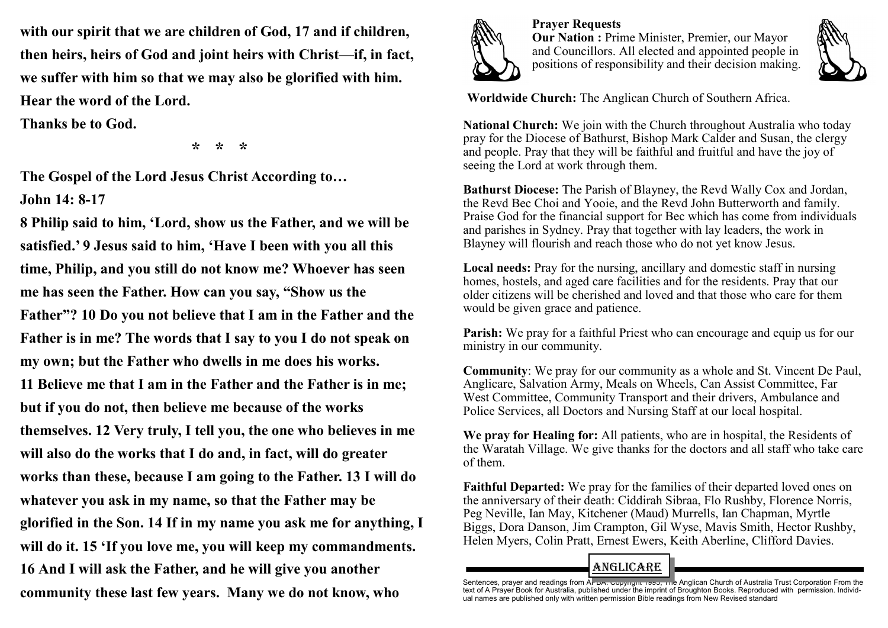**with our spirit that we are children of God, 17 and if children, then heirs, heirs of God and joint heirs with Christ—if, in fact, we suffer with him so that we may also be glorified with him. Hear the word of the Lord.**

**Thanks be to God.**

 **\* \* \***

**The Gospel of the Lord Jesus Christ According to… John 14: 8-17**

**8 Philip said to him, 'Lord, show us the Father, and we will be satisfied.' 9 Jesus said to him, 'Have I been with you all this time, Philip, and you still do not know me? Whoever has seen me has seen the Father. How can you say, "Show us the Father"? 10 Do you not believe that I am in the Father and the Father is in me? The words that I say to you I do not speak on my own; but the Father who dwells in me does his works. 11 Believe me that I am in the Father and the Father is in me; but if you do not, then believe me because of the works themselves. 12 Very truly, I tell you, the one who believes in me will also do the works that I do and, in fact, will do greater works than these, because I am going to the Father. 13 I will do whatever you ask in my name, so that the Father may be glorified in the Son. 14 If in my name you ask me for anything, I will do it. 15 'If you love me, you will keep my commandments. 16 And I will ask the Father, and he will give you another community these last few years. Many we do not know, who** 



**Prayer Requests Our Nation :** Prime Minister, Premier, our Mayor and Councillors. All elected and appointed people in positions of responsibility and their decision making.



**Worldwide Church:** The Anglican Church of Southern Africa.

**National Church:** We join with the Church throughout Australia who today pray for the Diocese of Bathurst, Bishop Mark Calder and Susan, the clergy and people. Pray that they will be faithful and fruitful and have the joy of seeing the Lord at work through them.

**Bathurst Diocese:** The Parish of Blayney, the Revd Wally Cox and Jordan, the Revd Bec Choi and Yooie, and the Revd John Butterworth and family. Praise God for the financial support for Bec which has come from individuals and parishes in Sydney. Pray that together with lay leaders, the work in Blayney will flourish and reach those who do not yet know Jesus.

**Local needs:** Pray for the nursing, ancillary and domestic staff in nursing homes, hostels, and aged care facilities and for the residents. Pray that our older citizens will be cherished and loved and that those who care for them would be given grace and patience.

**Parish:** We pray for a faithful Priest who can encourage and equip us for our ministry in our community.

**Community**: We pray for our community as a whole and St. Vincent De Paul, Anglicare, Salvation Army, Meals on Wheels, Can Assist Committee, Far West Committee, Community Transport and their drivers, Ambulance and Police Services, all Doctors and Nursing Staff at our local hospital.

**We pray for Healing for:** All patients, who are in hospital, the Residents of the Waratah Village. We give thanks for the doctors and all staff who take care of them.

**Faithful Departed:** We pray for the families of their departed loved ones on the anniversary of their death: Ciddirah Sibraa, Flo Rushby, Florence Norris, Peg Neville, Ian May, Kitchener (Maud) Murrells, Ian Chapman, Myrtle Biggs, Dora Danson, Jim Crampton, Gil Wyse, Mavis Smith, Hector Rushby, Helen Myers, Colin Pratt, Ernest Ewers, Keith Aberline, Clifford Davies.

# ANGLiCARE

Sentences, prayer and readings from A<del>l-DA. Copyngne 1990, The</del> Anglican Church of Australia Trust Corporation From the<br>text of A Prayer Book for Australia, published under the imprint of Broughton Books. Reproduced with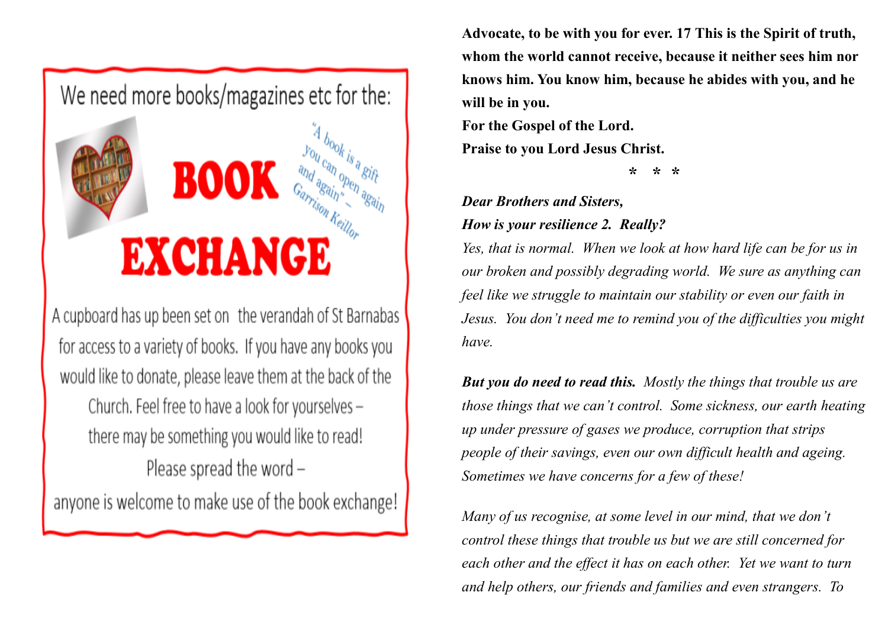

A cupboard has up been set on the verandah of St Barnabas for access to a variety of books. If you have any books you would like to donate, please leave them at the back of the Church. Feel free to have a look for yourselves there may be something you would like to read! Please spread the word -

anyone is welcome to make use of the book exchange!

**Advocate, to be with you for ever. 17 This is the Spirit of truth, whom the world cannot receive, because it neither sees him nor knows him. You know him, because he abides with you, and he will be in you.** 

**For the Gospel of the Lord.**

**Praise to you Lord Jesus Christ.**

 **\* \* \***

### *Dear Brothers and Sisters,*

*How is your resilience 2. Really?* 

*Yes, that is normal. When we look at how hard life can be for us in our broken and possibly degrading world. We sure as anything can feel like we struggle to maintain our stability or even our faith in Jesus. You don't need me to remind you of the difficulties you might have.* 

*But you do need to read this. Mostly the things that trouble us are those things that we can't control. Some sickness, our earth heating up under pressure of gases we produce, corruption that strips people of their savings, even our own difficult health and ageing. Sometimes we have concerns for a few of these!*

*Many of us recognise, at some level in our mind, that we don't control these things that trouble us but we are still concerned for each other and the effect it has on each other. Yet we want to turn and help others, our friends and families and even strangers. To*